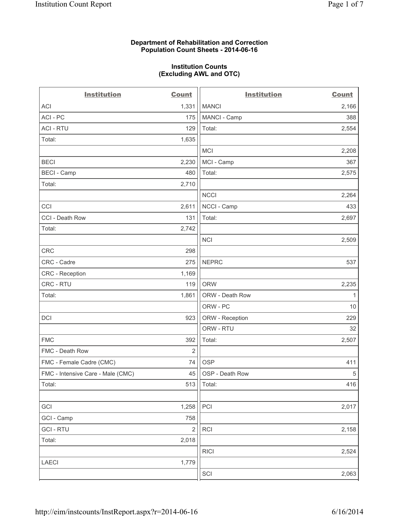## **Department of Rehabilitation and Correction Population Count Sheets - 2014-06-16**

### **Institution Counts (Excluding AWL and OTC)**

| <b>Institution</b>                | <b>Count</b>   | <b>Institution</b> | <b>Count</b> |
|-----------------------------------|----------------|--------------------|--------------|
| <b>ACI</b>                        | 1,331          | <b>MANCI</b>       | 2,166        |
| ACI - PC                          | 175            | MANCI - Camp       | 388          |
| <b>ACI - RTU</b>                  | 129            | Total:             | 2,554        |
| Total:                            | 1,635          |                    |              |
|                                   |                | <b>MCI</b>         | 2,208        |
| <b>BECI</b>                       | 2,230          | MCI - Camp         | 367          |
| <b>BECI - Camp</b>                | 480            | Total:             | 2,575        |
| Total:                            | 2,710          |                    |              |
|                                   |                | <b>NCCI</b>        | 2,264        |
| CCI                               | 2,611          | NCCI - Camp        | 433          |
| CCI - Death Row                   | 131            | Total:             | 2,697        |
| Total:                            | 2,742          |                    |              |
|                                   |                | <b>NCI</b>         | 2,509        |
| CRC                               | 298            |                    |              |
| CRC - Cadre                       | 275            | <b>NEPRC</b>       | 537          |
| CRC - Reception                   | 1,169          |                    |              |
| CRC - RTU                         | 119            | <b>ORW</b>         | 2,235        |
| Total:                            | 1,861          | ORW - Death Row    | $\mathbf{1}$ |
|                                   |                | ORW - PC           | 10           |
| <b>DCI</b>                        | 923            | ORW - Reception    | 229          |
|                                   |                | ORW - RTU          | 32           |
| <b>FMC</b>                        | 392            | Total:             | 2,507        |
| FMC - Death Row                   | $\overline{2}$ |                    |              |
| FMC - Female Cadre (CMC)          | 74             | <b>OSP</b>         | 411          |
| FMC - Intensive Care - Male (CMC) | 45             | OSP - Death Row    | $\,$ 5 $\,$  |
| Total:                            | 513            | Total:             | 416          |
|                                   |                |                    |              |
| GCI                               | 1,258          | PCI                | 2,017        |
| GCI - Camp                        | 758            |                    |              |
| <b>GCI-RTU</b>                    | $\overline{2}$ | <b>RCI</b>         | 2,158        |
| Total:                            | 2,018          |                    |              |
|                                   |                | <b>RICI</b>        | 2,524        |
| <b>LAECI</b>                      | 1,779          |                    |              |
|                                   |                | SCI                | 2,063        |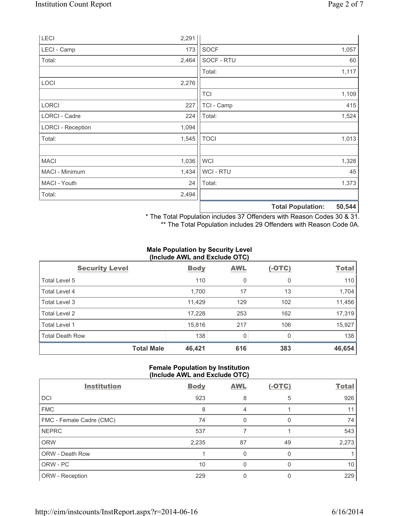| Total:                   | 2,494 |             | <b>Total Population:</b> | 50,544 |
|--------------------------|-------|-------------|--------------------------|--------|
| MACI - Youth             | 24    | Total:      |                          | 1,373  |
| MACI - Minimum           | 1,434 | WCI - RTU   |                          | 45     |
| <b>MACI</b>              | 1,036 | <b>WCI</b>  |                          | 1,328  |
|                          |       |             |                          |        |
| Total:                   | 1,545 | <b>TOCI</b> |                          | 1,013  |
| <b>LORCI - Reception</b> | 1,094 |             |                          |        |
| LORCI - Cadre            | 224   | Total:      |                          | 1,524  |
| <b>LORCI</b>             | 227   | TCI - Camp  |                          | 415    |
|                          |       | <b>TCI</b>  |                          | 1,109  |
| LOCI                     | 2,276 |             |                          |        |
|                          |       | Total:      |                          | 1,117  |
| Total:                   | 2,464 | SOCF - RTU  |                          | 60     |
| LECI - Camp              | 173   | <b>SOCF</b> |                          | 1,057  |
| LECI                     | 2,291 |             |                          |        |

\* The Total Population includes 37 Offenders with Reason Codes 30 & 31.

\*\* The Total Population includes 29 Offenders with Reason Code 0A.

## **Male Population by Security Level (Include AWL and Exclude OTC)**

|                        | $\frac{1}{2}$ |            |          |              |
|------------------------|---------------|------------|----------|--------------|
| <b>Security Level</b>  | <b>Body</b>   | <b>AWL</b> | $(-OTC)$ | <b>Total</b> |
| Total Level 5          | 110           | 0          | 0        | 110          |
| Total Level 4          | 1,700         | 17         | 13       | 1,704        |
| Total Level 3          | 11,429        | 129        | 102      | 11,456       |
| Total Level 2          | 17,228        | 253        | 162      | 17,319       |
| Total Level 1          | 15,816        | 217        | 106      | 15,927       |
| <b>Total Death Row</b> | 138           | 0          | 0        | 138          |
| <b>Total Male</b>      | 46,421        | 616        | 383      | 46,654       |

## **Female Population by Institution (Include AWL and Exclude OTC)**

| <b>Institution</b>       | <b>Body</b> | <b>AWL</b> | $(-OTC)$ | <b>Total</b> |
|--------------------------|-------------|------------|----------|--------------|
| DCI                      | 923         | 8          | 5        | 926          |
| <b>FMC</b>               | 8           | 4          |          | 11           |
| FMC - Female Cadre (CMC) | 74          | 0          |          | 74           |
| <b>NEPRC</b>             | 537         |            |          | 543          |
| <b>ORW</b>               | 2,235       | 87         | 49       | 2,273        |
| ORW - Death Row          |             | 0          |          |              |
| ORW - PC                 | 10          | 0          |          | 10           |
| ORW - Reception          | 229         |            |          | 229          |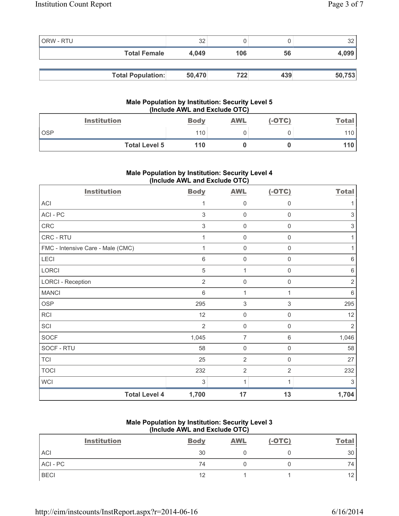| ORW - RTU |                          | 32     |     |     | 32     |
|-----------|--------------------------|--------|-----|-----|--------|
|           | <b>Total Female</b>      | 4.049  | 106 | 56  | 4,099  |
|           |                          |        |     |     |        |
|           | <b>Total Population:</b> | 50,470 | 722 | 439 | 50,753 |

# **Male Population by Institution: Security Level 5 (Include AWL and Exclude OTC)**

| <b>Institution</b>   | <b>Body</b> | <b>AWL</b> | $(-OTC)$ | <b>Total</b> |
|----------------------|-------------|------------|----------|--------------|
| <b>OSP</b>           | 110         |            |          | 110          |
| <b>Total Level 5</b> | 110         |            |          | 110 l        |

# **Male Population by Institution: Security Level 4 (Include AWL and Exclude OTC)**

| <b>Institution</b>                | <b>Body</b>    | <b>AWL</b>          | $(-OTC)$            | <b>Total</b>   |
|-----------------------------------|----------------|---------------------|---------------------|----------------|
| <b>ACI</b>                        | 1              | 0                   | 0                   |                |
| ACI-PC                            | $\mathfrak{Z}$ | $\boldsymbol{0}$    | $\mathbf 0$         | 3              |
| CRC                               | $\mathfrak{Z}$ | 0                   | $\mathbf 0$         | 3              |
| CRC - RTU                         | 1              | $\mathsf{O}\xspace$ | $\mathsf{O}\xspace$ | 1              |
| FMC - Intensive Care - Male (CMC) | 1              | $\mathsf{O}\xspace$ | $\mathsf{O}\xspace$ | 1              |
| LECI                              | $\,6$          | 0                   | $\mathsf{0}$        | $\,6\,$        |
| <b>LORCI</b>                      | 5              | 1                   | 0                   | $\,6\,$        |
| <b>LORCI - Reception</b>          | $\overline{2}$ | $\mathsf{O}\xspace$ | $\boldsymbol{0}$    | $\overline{2}$ |
| <b>MANCI</b>                      | 6              | $\mathbf{1}$        | 1                   | 6              |
| <b>OSP</b>                        | 295            | 3                   | 3                   | 295            |
| RCI                               | 12             | 0                   | 0                   | 12             |
| SCI                               | $\overline{2}$ | 0                   | 0                   | $\overline{2}$ |
| <b>SOCF</b>                       | 1,045          | 7                   | 6                   | 1,046          |
| SOCF - RTU                        | 58             | $\mathbf 0$         | $\mathbf 0$         | 58             |
| <b>TCI</b>                        | 25             | $\overline{2}$      | $\mathsf 0$         | 27             |
| <b>TOCI</b>                       | 232            | $\overline{2}$      | $\overline{2}$      | 232            |
| <b>WCI</b>                        | 3              | 1                   | 1                   | 3              |
| <b>Total Level 4</b>              | 1,700          | 17                  | 13                  | 1,704          |

# **Male Population by Institution: Security Level 3 (Include AWL and Exclude OTC)**

| <b>Institution</b> | <b>Body</b> | <b>AWL</b> | $(-OTC)$ | <b>Total</b>    |
|--------------------|-------------|------------|----------|-----------------|
| ACI                | 30          |            |          | 30              |
| ACI-PC             | 74          |            |          | 74              |
| <b>BECI</b>        | 12          |            |          | 12 <sub>1</sub> |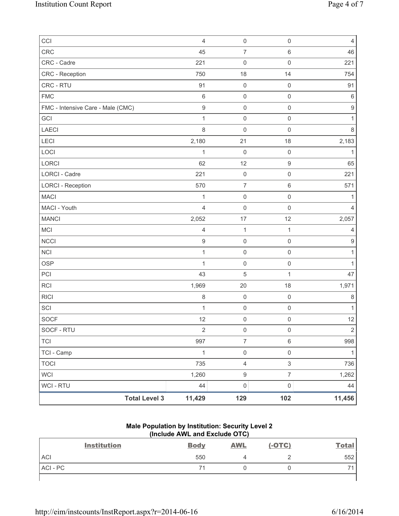| CCI                               | $\overline{4}$   | $\mathsf{O}\xspace$ | $\mathsf{O}\xspace$ | $\overline{4}$   |
|-----------------------------------|------------------|---------------------|---------------------|------------------|
| CRC                               | 45               | $\overline{7}$      | 6                   | 46               |
| CRC - Cadre                       | 221              | 0                   | $\mathsf{O}\xspace$ | 221              |
| CRC - Reception                   | 750              | 18                  | 14                  | 754              |
| CRC - RTU                         | 91               | $\mathbf 0$         | $\mathbf 0$         | 91               |
| <b>FMC</b>                        | $\,6\,$          | $\mathsf{O}\xspace$ | $\mathsf{O}\xspace$ | $\,6\,$          |
| FMC - Intensive Care - Male (CMC) | $\mathsf g$      | $\mathsf 0$         | $\mathsf{O}\xspace$ | $\boldsymbol{9}$ |
| GCI                               | $\mathbf{1}$     | $\mathbf 0$         | $\mathsf{O}\xspace$ | 1                |
| <b>LAECI</b>                      | $\,8\,$          | $\mathbf 0$         | $\mathsf{O}\xspace$ | $\,8\,$          |
| LECI                              | 2,180            | 21                  | 18                  | 2,183            |
| LOCI                              | 1                | $\mathbf 0$         | $\mathsf 0$         | $\mathbf{1}$     |
| LORCI                             | 62               | 12                  | $\mathsf g$         | 65               |
| LORCI - Cadre                     | 221              | $\mathsf{O}\xspace$ | $\mathsf{O}\xspace$ | 221              |
| <b>LORCI - Reception</b>          | 570              | $\boldsymbol{7}$    | 6                   | 571              |
| <b>MACI</b>                       | 1                | $\mathbf 0$         | $\mathsf{O}\xspace$ | 1                |
| MACI - Youth                      | $\overline{4}$   | $\mathbf 0$         | $\mathsf{O}\xspace$ | $\overline{4}$   |
| <b>MANCI</b>                      | 2,052            | 17                  | 12                  | 2,057            |
| <b>MCI</b>                        | $\overline{4}$   | $\mathbf 1$         | 1                   | $\overline{4}$   |
| <b>NCCI</b>                       | $\boldsymbol{9}$ | $\mathsf 0$         | $\mathsf{O}\xspace$ | $9\,$            |
| <b>NCI</b>                        | 1                | $\mathsf{O}\xspace$ | $\mathsf{O}\xspace$ | 1                |
| <b>OSP</b>                        | $\mathbf{1}$     | $\mathsf 0$         | $\mathsf{O}\xspace$ | $\mathbf{1}$     |
| PCI                               | 43               | $\sqrt{5}$          | $\mathbf{1}$        | 47               |
| <b>RCI</b>                        | 1,969            | 20                  | 18                  | 1,971            |
| <b>RICI</b>                       | $\,8\,$          | $\mathbf 0$         | $\mathsf{O}\xspace$ | $\,8\,$          |
| SCI                               | 1                | $\mathsf 0$         | $\mathsf 0$         | $\mathbf{1}$     |
| <b>SOCF</b>                       | 12               | $\mathsf 0$         | $\mathsf{O}\xspace$ | 12               |
| SOCF - RTU                        | 2                | 0                   | 0                   | $\overline{2}$   |
| <b>TCI</b>                        | 997              | $\overline{7}$      | 6                   | 998              |
| TCI - Camp                        | $\mathbf{1}$     | $\mathsf{O}\xspace$ | $\mathsf{O}\xspace$ | $\mathbf{1}$     |
| <b>TOCI</b>                       | 735              | $\overline{4}$      | $\mathfrak{S}$      | 736              |
| <b>WCI</b>                        | 1,260            | $\boldsymbol{9}$    | $\overline{7}$      | 1,262            |
| WCI - RTU                         | 44               | $\mathsf{O}\xspace$ | $\mathsf{O}\xspace$ | 44               |
| <b>Total Level 3</b>              | 11,429           | 129                 | 102                 | 11,456           |

## **Male Population by Institution: Security Level 2 (Include AWL and Exclude OTC)**

| <b>Institution</b> | <b>Body</b> | <b>AWL</b> | $(-OTC)$ | <b>Total</b> |
|--------------------|-------------|------------|----------|--------------|
| <b>ACI</b>         | 550         |            |          | 552          |
| ACI-PC             |             |            |          | -            |
|                    |             |            |          |              |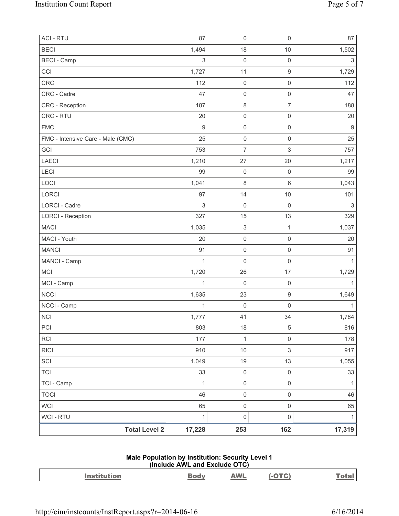| <b>ACI - RTU</b>                  | 87           | $\mathsf{O}\xspace$       | $\mathsf{O}\xspace$ | 87               |
|-----------------------------------|--------------|---------------------------|---------------------|------------------|
| <b>BECI</b>                       | 1,494        | 18                        | 10                  | 1,502            |
| <b>BECI</b> - Camp                | $\mathsf 3$  | $\mathsf{O}\xspace$       | $\mathsf 0$         | 3                |
| CCI                               | 1,727        | 11                        | $\mathsf g$         | 1,729            |
| CRC                               | 112          | $\mathsf{O}\xspace$       | $\mathsf{O}\xspace$ | 112              |
| CRC - Cadre                       | 47           | $\mathsf{O}\xspace$       | $\mathsf{O}\xspace$ | 47               |
| CRC - Reception                   | 187          | $\,8\,$                   | $\overline{7}$      | 188              |
| CRC - RTU                         | 20           | $\mathsf{O}\xspace$       | $\mathsf{O}\xspace$ | 20               |
| <b>FMC</b>                        | $\mathsf g$  | $\mathsf{O}\xspace$       | $\mathsf{O}\xspace$ | $\boldsymbol{9}$ |
| FMC - Intensive Care - Male (CMC) | 25           | $\mathsf{O}\xspace$       | $\mathsf{O}\xspace$ | 25               |
| GCI                               | 753          | $\overline{7}$            | 3                   | 757              |
| <b>LAECI</b>                      | 1,210        | 27                        | 20                  | 1,217            |
| LECI                              | 99           | $\mathsf{O}\xspace$       | $\mathsf{O}\xspace$ | 99               |
| LOCI                              | 1,041        | $\,8\,$                   | $\,6\,$             | 1,043            |
| LORCI                             | 97           | 14                        | 10                  | 101              |
| <b>LORCI - Cadre</b>              | $\mathsf 3$  | $\mathbf 0$               | $\mathsf{O}\xspace$ | $\mathsf 3$      |
| <b>LORCI - Reception</b>          | 327          | 15                        | 13                  | 329              |
| <b>MACI</b>                       | 1,035        | $\ensuremath{\mathsf{3}}$ | $\mathbf{1}$        | 1,037            |
| MACI - Youth                      | 20           | $\mathsf{O}\xspace$       | $\mathsf{O}\xspace$ | 20               |
| <b>MANCI</b>                      | 91           | $\mathsf{O}\xspace$       | $\mathsf{O}\xspace$ | 91               |
| MANCI - Camp                      | $\mathbf{1}$ | $\mathsf{O}\xspace$       | $\mathsf{O}\xspace$ | $\mathbf{1}$     |
| MCI                               | 1,720        | 26                        | 17                  | 1,729            |
| MCI - Camp                        | $\mathbf{1}$ | $\mathsf{O}\xspace$       | $\mathsf{O}\xspace$ | $\mathbf{1}$     |
| <b>NCCI</b>                       | 1,635        | 23                        | $\hbox{9}$          | 1,649            |
| NCCI - Camp                       | $\mathbf{1}$ | $\mathsf{O}\xspace$       | $\mathsf{O}\xspace$ | $\mathbf{1}$     |
| <b>NCI</b>                        | 1,777        | 41                        | 34                  | 1,784            |
| PCI                               | 803          | 18                        | $\mathbf 5$         | 816              |
| <b>RCI</b>                        | 177          | 1                         | $\mathsf{O}\xspace$ | 178              |
| <b>RICI</b>                       | 910          | $10$                      | 3                   | 917              |
| SCI                               | 1,049        | 19                        | 13                  | 1,055            |
| <b>TCI</b>                        | 33           | $\mathsf 0$               | $\mathsf{O}\xspace$ | 33               |
| TCI - Camp                        | $\mathbf{1}$ | $\mathsf 0$               | $\mathsf{O}\xspace$ | $\mathbf{1}$     |
| <b>TOCI</b>                       | 46           | $\mathsf 0$               | $\mathsf{O}\xspace$ | 46               |
| <b>WCI</b>                        | 65           | $\mathsf{O}\xspace$       | $\mathsf{O}\xspace$ | 65               |
| WCI - RTU                         | $\mathbf 1$  | $\mathsf{O}\xspace$       | $\mathsf{O}\xspace$ | $\mathbf{1}$     |
| <b>Total Level 2</b>              | 17,228       | 253                       | 162                 | 17,319           |

## **Male Population by Institution: Security Level 1 (Include AWL and Exclude OTC)**

| <b>Institution</b> | <b>Body</b> | <b>AWL</b> | $(-OTC)$ | Total . |
|--------------------|-------------|------------|----------|---------|
|                    |             |            |          |         |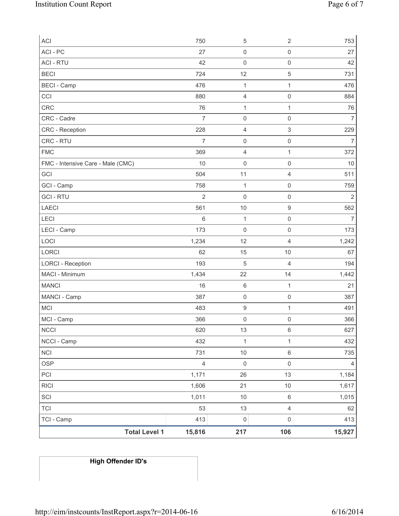| <b>Total Level 1</b>                     | 15,816         | 217                 | 106                                   | 15,927         |
|------------------------------------------|----------------|---------------------|---------------------------------------|----------------|
| TCI - Camp                               | 413            | $\mathsf{O}\xspace$ | $\mathsf{O}\xspace$                   | 413            |
| <b>TCI</b>                               | 53             | 13                  | $\overline{\mathcal{L}}$              | 62             |
| SCI                                      | 1,011          | $10$                | 6                                     | 1,015          |
| <b>RICI</b>                              | 1,606          | 21                  | 10                                    | 1,617          |
| PCI                                      | 1,171          | 26                  | 13                                    | 1,184          |
| <b>OSP</b>                               | $\overline{4}$ | $\mathsf{O}\xspace$ | $\mathsf{O}\xspace$                   | 4              |
| <b>NCI</b>                               | 731            | $10$                | 6                                     | 735            |
| NCCI - Camp                              | 432            | $\mathbf 1$         | 1                                     | 432            |
| <b>NCCI</b>                              | 620            | 13                  | 6                                     | 627            |
| MCI - Camp                               | 366            | $\mathsf{O}\xspace$ | 0                                     | 366            |
| MCI                                      | 483            | $\boldsymbol{9}$    | $\mathbf{1}$                          | 491            |
| MANCI - Camp                             | 387            | $\mathsf{O}\xspace$ | $\mathsf 0$                           | 387            |
| <b>MANCI</b>                             | 16             | $\,6\,$             | $\mathbf{1}$                          | 21             |
| MACI - Minimum                           | 1,434          | 22                  | 14                                    | 1,442          |
| <b>LORCI - Reception</b>                 | 193            | $\mathbf 5$         | 4                                     | 194            |
| LORCI                                    | 62             | 15                  | $10$                                  | 67             |
| LOCI                                     | 1,234          | 12                  | 4                                     | 1,242          |
| LECI - Camp                              | 173            | $\mathbf 0$         | $\mathsf{O}\xspace$                   | 173            |
| LECI                                     | $\,6$          | $\mathbf{1}$        | $\mathsf{O}\xspace$                   | $\overline{7}$ |
| <b>LAECI</b>                             | 561            | 10                  | $\mathsf g$                           | 562            |
| <b>GCI-RTU</b>                           | $\overline{2}$ | $\mathsf{O}\xspace$ | $\mathsf{O}\xspace$                   | $\overline{2}$ |
| GCI - Camp                               | 758            | $\mathbf{1}$        | $\mathsf{O}\xspace$                   | 759            |
| FMC - Intensive Care - Male (CMC)<br>GCI | 10<br>504      | $\mathbf 0$<br>11   | $\mathsf{O}\xspace$<br>$\overline{4}$ | $10$<br>511    |
| <b>FMC</b>                               | 369            | $\overline{4}$      | $\mathbf{1}$                          | 372            |
| CRC - RTU                                | $\overline{7}$ | $\mathsf{O}\xspace$ | $\mathsf{O}\xspace$                   | $\overline{7}$ |
| <b>CRC</b> - Reception                   | 228            | $\overline{4}$      | 3                                     | 229            |
| CRC - Cadre                              | $\overline{7}$ | $\mathsf{O}\xspace$ | $\mathsf{O}\xspace$                   | $\overline{7}$ |
| CRC                                      | 76             | $\mathbf{1}$        | $\mathbf{1}$                          | 76             |
| CCI                                      | 880            | $\overline{4}$      | $\mathsf{O}\xspace$                   | 884            |
| <b>BECI - Camp</b>                       | 476            | $\mathbf{1}$        | $\mathbf{1}$                          | 476            |
| <b>BECI</b>                              | 724            | 12                  | $\,$ 5 $\,$                           | 731            |
| <b>ACI - RTU</b>                         | 42             | $\mathbf 0$         | $\mathsf{O}\xspace$                   | 42             |
| ACI - PC                                 | 27             | $\mathsf 0$         | $\mathsf{O}\xspace$                   | 27             |
| ACI                                      | 750            | 5                   | $\overline{2}$                        | 753            |

# **High Offender ID's**